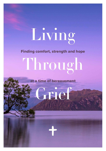# Living

Finding comfort, strength and hope

## Through

at a time of bereavement

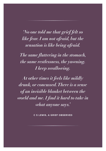*'No one told me that grief felt so like fear. I am not afraid, but the sensation is like being afraid.*

*The same fluttering in the stomach, the same restlessness, the yawning. I keep swallowing.*

*At other times it feels like mildly drunk, or concussed. There is a sense of an invisible blanket between the world and me. I find it hard to take in what anyone says.'*

**C S LEWIS, A GRIEF OBSERVED**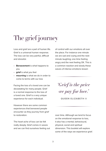### The grief journey

Loss and grief are a part of human life. Grief is a universal human response. The loss can be very painful, difficult and stressful.

- **Bereavement** is what happens to you
- **grief** is what you feel
- **mourning** is what we do in order to come to terms with our loss

Facing the loss of a loved one can be devastating for many people. Grief is a normal response to the loss of a loved one. Grief is a very unique experience for each individual.

However there are some common experiences that bereaved people encounter as they journey from grief to restoration.

The heart ache of loss can be felt really deeply. Grief comes in waves and we can find ourselves feeling out

of control with our emotions all over the place. For instance one minute we are sad and crying and the next minute laughing; one time feeling angry and the next feeling OK. This is a common reaction and slowly these waves of intense emotions lessen

*'Grief is the price we pay for love.'*

**QUEEN ELIZABETH II**

over time. Although we tend to focus on the emotional response to loss, it also has a mental, behavioural, physical, social and spiritual dimension. This booklet will explore some of the ways we experience grief.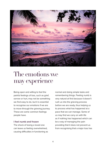

### The emotions we may experience

Being open and willing to feel the painful feelings of loss, such as grief, sorrow or hurt, may not be something we find easy to do, but it is essential to recognise our emotions if we are to move through the grieving journey. These are some common feelings people have.

### **I feel numb and frozen**

The shock of losing a loved one can leave us feeling overwhelmed, causing difficulties in functioning as

normal and doing simple tasks and remembering things. Feeling numb is very natural at first because it doesn't rush us into the grieving process before we are ready, thus helping us to process what has happened at a pace that we can manage. Some of us may find we carry on with life as if nothing has happened which can be a way of managing the pain providing that it does not prevent us from recognising that a major loss has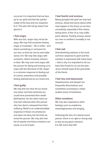occurred. It is important that we face up to our grief and feel the painful reality of the loss and our response to it. The pain will not go away if we ignore it.

#### **I feel angry**

With any loss, anger may not be far away. We may find ourselves feeling angry or frustrated – life is unfair - and blame something or someone for our loss, so that we can try and make sense of it. We may feel angry with ourselves, others involved, doctors, or God. We may even feel angry with the person for dying and leaving us to cope with the demands of life. Anger is a common response to feeling out of control, powerless and possibly feeling abandoned by our loved one.

#### **I feel guilty**

We may feel we have let our loved one down and that somehow we could have prevented their death. (Self-blame). On the other hand we may feel relieved when the person who has died is released from their suffering. Relief is an understandable response in these circumstances and does not deny the fact that we loved the person. We may also feel full of regrets and these emotions can cause us a lot of pain.

### **I feel fearful and anxious**

Being plunged into grief we may feel anxious, afraid and worry about what may happen in the future as we face uncertainty, especially if this means being alone. A few of us may suffer panic attacks. Feeling anxious about our own or another's mortality is not unusual.

#### **I feel sad**

Overwhelming sadness is the most common response to grief and this emotion is expressed with many tears – that is why it is important to let our tears flow freely to cry out the pain. Jesus himself wept at the graveside of His friend.

#### **I feel low and depressed**

Hopelessness and despair are frequently felt emotions and sometimes accompany a deepseated sense of loneliness.

#### **Other emotions**

We may also experience other feelings such as emptiness, meaninglessness and longing.

*Following the loss of a dearly loved person, there is no right or wrong way to feel at any given moment. It is OK not to feel OK!*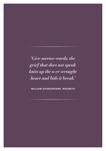*'Give sorrow words; the grief that does not speak knits up the o-er wrought heart and bids it break.'*

**WILLIAM SHAKESPEARE, MACBETH**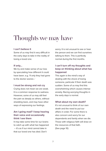### Thoughts we may have

### **I can't believe it**

Some of us may find it very difficult in the early days to take in the reality of losing a loved one.

#### **If only…**

We try and make sense of our loss by speculating how different it could have been. e.g. 'If only they had gone to the doctor sooner...'

### **I must be strong and not cry**

Crying does not mean we are weak. It is a common response to sadness. However, some of us may still feel the pain as deeply as others, without shedding tears, and may have other ways of expressing our feelings.

### **Am I going mad? I keep hearing their voice and occasionally think I see them**

It may take some time for our brains to catch up with what has happened – it's as if our mind cannot take in that our loved one has died. Don't

worry. It is not unusual to see or hear the person and we can find ourselves talking to them. This is perfectly normal during the first months.

### **I can't turn off my thoughts and keep on thinking about what has happened**

This again is the mind's way of dealing with the shock of losing someone, particular if their death was sudden. Some of us may find this overwhelming which causes intense anxiety. Racing worrying thoughts in the early days is normal.

### **What about my own death?**

It's not unusual to think of our own death and the need to put our affairs in order. For some there is also concern and worry for our dependents and family when we die. Those with religious faith will draw on the resources of that faith. (See page 10)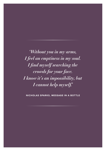*'Without you in my arms, I feel an emptiness in my soul. I find myself searching the crowds for your face. I know it's an impossibility, but I cannot help myself.'*

**NICHOLAS SPARKS, MESSAGE IN A BOTTLE**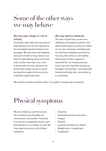### Some of the other ways we may behave

### **We may take refuge in a lot of activity**

During the early days we may want to keep going as we try and respond to the immediate practical needs to be arranged. We may even feel agitated and can't sit still for long. Some of us want to keep talking about our loved ones, as this may help us to come to terms with the loss. However be aware that activity can be a way of denying the reality of the loss and a protection against the pain.

### **We may want to withdraw**

The pain of grief may cause us to withdraw and isolate ourselves from others which gives us space to reflect on our loss. However, retreating into our shell and isolating ourselves for too long from others is not healthy. Having face-to-face support is important for our healing process even if we don't feel like sharing our thoughts and feelings. Just being with friends and family who care about us is comforting.

*We need to remind ourselves: there is no right or wrong way to respond.*

## Physical symptoms

We are created as a whole person. Our emotions and thoughts are connected to our bodies. Therefore it is normal to experience shock, pain and sadness in our bodies as well. We may experience any or all of these symptoms.

- Insomnia
- Unexplained aches and pains
- Fatigue
- Nausea
- Lowered resistance to illness
- Weight loss or weight gain
- Headaches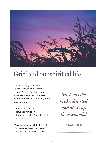

### Grief and our spiritual life

For some, our grief may draw us closer to God and our faith grows. Whereas for others, some may question their faith and feel abandoned by God. Commonly asked questions are:

- Where are you God?
- Have you forgotten me?
- If you are a loving God why did this happen?

We cannot prepare fully for the death of a loved one. Death is so deeply emotional and seems final, shaking

*'He heals the brokenhearted and binds up their wounds.'*

**PSALM 147:3**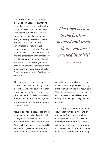us to the core. We read in the Bible that God's son, Jesus wept when he heard that his friend Lazarus had died, so we can take comfort in that Jesus understands our pain. (Jn 11:35) He weeps with us! What a comforting thought that only He knows how we fully feel about our loved ones. Nevertheless it is natural to ask ourselves. 'Where is a loving God in the death of my loved one?' When we are grieving it is tempting to think that if we could find answers to the questions that torment us, somehow our grief would lessen. The problem is that these sorts of questions are indeed very difficult. They are mysteries which God holds in His mind.

'His understanding no-one can fathom' (Isaiah 40:28). Lasting comfort is found in who we know, rather than in what we know. Real comfort comes when we rest in our relationship with the most loving, most gracious, most forgiving, and most powerful Person in the universe.

Jesus is our hope because He brings us peace in the midst of our turmoil; courage and strength instead of fear; confidence in the face of doubt. Above all, after dying on the cross His resurrection gives us the confident expectation of a better life to come

*'The Lord is close to the brokenhearted and saves those who are crushed in spirit'*

**PSALM 34:7**

when he says death is not the end of life, but the beginning of eternity living with God in heaven. Jesus said, "I am the resurrection and the life. He who believes in me will live, even though they die". (Jn 11:25) This gives us hope.

So although from a human point of view death may seem final and an enemy, for Christians death takes us to the place where, 'God will wipe every tear from their eyes. There will be no more death or mourning or crying or pain, for the old order of things has passed away.' (Rev 21:4)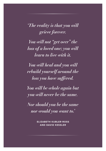*'The reality is that you will grieve forever.*

*You will not "get over" the loss of a loved one; you will learn to live with it.*

*You will heal and you will rebuild yourself around the loss you have suffered.*

*You will be whole again but you will never be the same.*

*Nor should you be the same nor would you want to.'*

> **ELIZABETH KUBLER-ROSS AND DAVID KESSLER**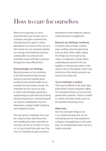### How to care for ourselves

When we're grieving, it's more important than ever to take care of ourselves and give ourselves time and permission to grieve. Unless attended to, the stress of the loss of a dear loved one can seriously deplete our energy and emotional reserves. Looking after our physical and emotional needs will help us journey through this most difficult time.

#### **Acknowledge our feelings**

Becoming aware of our emotions is the first important step forward along our journey towards good emotional and mental health as we emerge from the season of pain. It's important we face up to our pain in order to find healing. Ignoring or suppressing our grief will only prolong the grieving process. Unresolved grief can lead to complications such as depression, [anxiety](https://www.helpguide.org/articles/anxiety/anxiety-disorders-and-anxiety-attacks.htm), health problems, and substance abuse.

Our own grief is individual, but it can be a help to share with those who are travelling the same road. But no one else can tell us it's time to 'move on' or 'you should have got over it by now.' It's important to give ourselves

permission to feel whatever, without embarrassment or judgement.

### **Express our feelings creatively**

Consider some of these creative ways: writing a journal expressing how you feel; write a letter saying the things you never got to say; make a scrapbook or photo album celebrating the person's life; put together a memory box; plant a rose, shrub or tree in the garden which may remind us of the living memories we have of our loved one.

### **Try to maintain a routine**

This may be difficult in the early days particularly if having sleepless nights. The important thing is to be kind and gentle with ourselves. There's comfort in routine and when ready, return to the activities that bring us joy.

#### **Make lists**

Don't try and hold 'things to do' in our heads because this can be exhausting and we may experience a degree of forgetfulness in the early days. So writing things down can be a helpful reminder.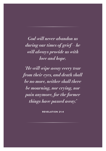*God will never abandon us during our times of grief—he will always provide us with love and hope.*

*'He will wipe away every tear from their eyes, and death shall be no more, neither shall there be mourning, nor crying, nor pain anymore, for the former things have passed away.'*

**REVELATION 21:4**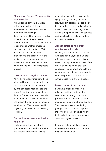### **Plan ahead for grief 'triggers' like anniversaries**

Anniversaries, birthdays, Christmas, holidays, important dates and milestones can reawaken difficult memories and feelings. It may be helpful for some of us to lay some flowers at the graveside or crematorium. It's completely normal to experience another emotional wave of grief at these times. Talk to other relatives about their expectations and agree before the anniversary, ways you want to honour the memory of the life of our loved one. Be aware of unexpected triggers.

#### **Look after our physical health**

As we have already mentioned, the mind and body are connected. If we can't face food at first, no worries, try and eat healthy food a little and often. Try and get enough rest even if we can't sleep, and exercise daily in the fresh air if possible. Research has shown that being out in nature is very healing. When we feel healthy physically, we are more emotionally resilient.

### **Can antidepressant medication help grief?**

Feeling sad and sorrowful with grief is very normal. With the advice of a medical professional, taking

medication may relieve some of the symptoms by numbing the pain. However, antidepressants can delay the mourning process and medication doesn't treat the underlying cause which is the pain of loss. This sadness and pain has to be felt and worked through for healing.

### **Accept offers of help from relatives and friends**

Grieving is a time to lean on friends who care about us, so take up their offers of support and help. It is not weak to accept their help. Quite often others don't know how they can support us, so be brave and tell them what would help. It may be a friendly chat and perhaps someone to cry with, practical help and/or a cuppa.

### **Draw comfort from our faith**

If we have a faith and follow a religious tradition, embrace the comfort its mourning rituals can provide. Spiritual activities that are meaningful to us can offer us comfort. This may be praying, meditating or going to our place of worship. We may find ourselves questioning our faith and asking questions such as 'where will I go when I die?'

It may be helpful to talk to a clergy/ minister or someone from our own religious community.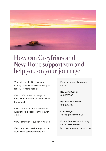

### How can Greyfriars and New Hope support you and help you on your journey?

We aim to run the Bereavement Journey course every six months (see page 18 for more details).

We will offer coffee mornings for those who are bereaved every two or three months.

We will offer memorial services and quiet reflective spaces in the Church buildings.

We will offer prayer support if wanted.

We will signpost to other support, i.e. counsellors, pastoral visitors etc.

For more information please contact:

**Rev David Walker** 01189516700

**Rev Natalie Worsfold**  01189516700

**Chris Ledger** office@greyfriars.org.uk

For the Bereavement Journey, contact **Lizzie White** bereavement@greyfriars.org.uk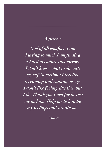### *A prayer*

*God of all comfort, I am hurting so much I am finding it hard to endure this sorrow. I don't know what to do with myself. Sometimes I feel like screaming and running away. I don't like feeling like this, but I do. Thank you Lord for loving me as I am. Help me to handle my feelings and sustain me.*

 *Amen*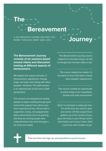**The Example 2** 

A SIX-SESSION COURSE HELPING YOU A SIX-SESSION COURSE HELPING YOU (A FILO**UITNEY** 

**The Bereavement Journey consists of six sessions based around videos and discussion looking at different aspects of bereavement.**

We explore the impact and pain of bereavement, adjusting to change, anger and guilt, and coping with other peoples' reactions. The sixth session is an optional look at loss from a faith perspective.

The sessions are designed to enable people to begin working through grief and to find support from others who have experienced loss. We provide a supportive, loving, non-judgemental place where those who are grieving feel they are among people who understand (we also work through a lot of tea and cake!).

*'The Bearevement Journey course helped me articulate things I've felt or thought but not been able to say'*

*'The course helped me realise I'm not alone in how I feel when I heard other peoples' experiences'*

*'The course created an opportunity to share things in an empathetic, friendly and safe environment'*

*'Grief, I've learned, is really just love. It's all the love you want to give, but cannot. All that unspent love gathers up in the corners of your eyes, the lump in your throat, and in that hollow part of your chest. Grief is just love with no place to go.'*

Find out more and sign up: **www.greyfriars.org.uk/courses**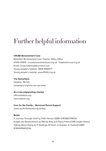### Further helpful information

### **CRUSE Bereavement Care**

Berkshire Bereavement Care Thames Valley Office 01344 411919 · [crusebereavementcare.org.uk](http://www.crusebereavementcare.org.uk) · [helpline@cruse.org.uk](mailto:helpline@cruse.org.uk) Email: [Cruse.tvberks@btconnect.com](mailto:Cruse.tvberks@btconnect.com) Young people's helpline: 0808 8081677 Young people's website: [www.RD4U.org.uk](http://www.RD4U.org.uk) 

### **[The Samaritans](https://www.samaritans.org/how-we-can-help/)**

Helpline[: 116 123](https://www.samaritans.org/how-we-can-help/) samaritans.org/how-we-can-help/

### **At a Loss (signposting charity)**

[office@ataloss.org](mailto:office@ataloss.org) [www.ataloss.org](http://www.ataloss.org)

### **Care for the Family – Bereaved Parent Support**

[www.careforthefamily.org.uk/bps](http://www.careforthefamily.org.uk/bps) 

### **Books**

A Journey Through Grief by Faith Hanson (ISBN 9780860718031) Insight into Bereavement by Wendy Bray and Diana Priest (CWR Insight Series) Talking About Dying by P Giddings, M Down, E Sugden, G Tuckwell (ISBN 9780995683204)